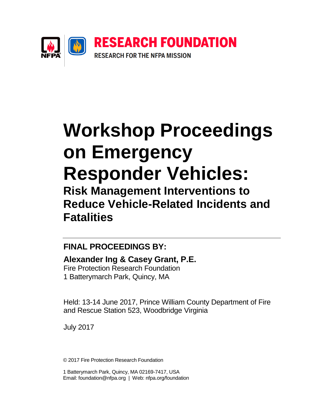

# **Workshop Proceedings on Emergency Responder Vehicles:**

**Risk Management Interventions to Reduce Vehicle-Related Incidents and Fatalities**

# **FINAL PROCEEDINGS BY:**

**Alexander Ing & Casey Grant, P.E.**  Fire Protection Research Foundation

1 Batterymarch Park, Quincy, MA

Held: 13-14 June 2017, Prince William County Department of Fire and Rescue Station 523, Woodbridge Virginia

July 2017

© 2017 Fire Protection Research Foundation

 1 Batterymarch Park, Quincy, MA 02169-7417, USA Email: foundation@nfpa.org | Web: nfpa.org/foundation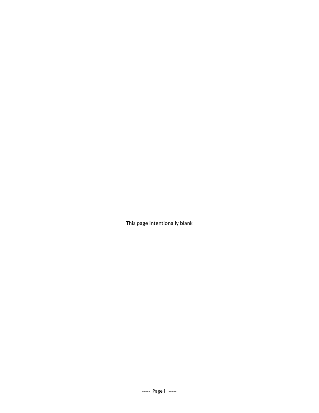This page intentionally blank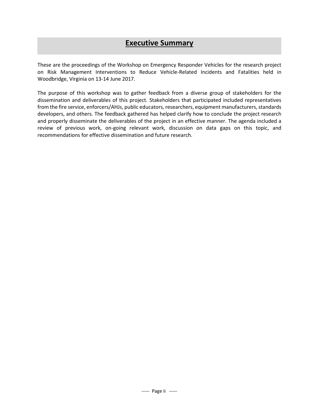### **Executive Summary**

These are the proceedings of the Workshop on Emergency Responder Vehicles for the research project on Risk Management Interventions to Reduce Vehicle-Related Incidents and Fatalities held in Woodbridge, Virginia on 13-14 June 2017.

The purpose of this workshop was to gather feedback from a diverse group of stakeholders for the dissemination and deliverables of this project. Stakeholders that participated included representatives from the fire service, enforcers/AHJs, public educators, researchers, equipment manufacturers, standards developers, and others. The feedback gathered has helped clarify how to conclude the project research and properly disseminate the deliverables of the project in an effective manner. The agenda included a review of previous work, on-going relevant work, discussion on data gaps on this topic, and recommendations for effective dissemination and future research.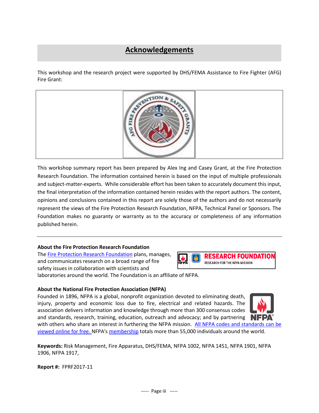# **Acknowledgements**

This workshop and the research project were supported by DHS/FEMA Assistance to Fire Fighter (AFG) Fire Grant:



This workshop summary report has been prepared by Alex Ing and Casey Grant, at the Fire Protection Research Foundation. The information contained herein is based on the input of multiple professionals and subject-matter-experts. While considerable effort has been taken to accurately document this input, the final interpretation of the information contained herein resides with the report authors. The content, opinions and conclusions contained in this report are solely those of the authors and do not necessarily represent the views of the Fire Protection Research Foundation, NFPA, Technical Panel or Sponsors. The Foundation makes no guaranty or warranty as to the accuracy or completeness of any information published herein.

#### **About the Fire Protection Research Foundation**

The [Fire Protection Research Foundation](http://www.nfpa.org/foundation) plans, manages, and communicates research on a broad range of fire safety issues in collaboration with scientists and laboratories around the world. The Foundation is an affiliate of NFPA.



Founded in 1896, NFPA is a global, nonprofit organization devoted to eliminating death, injury, property and economic loss due to fire, electrical and related hazards. The association delivers information and knowledge through more than 300 consensus codes and standards, research, training, education, outreach and advocacy; and by partnering  $\blacksquare$ with others who share an interest in furthering the NFPA mission. All NFPA codes and standards can be



**RESEARCH FOR THE NFPA MISSION** 

[viewed online for free.](http://www.nfpa.org/codes-and-standards/free-access) NFPA's [membership](http://www.nfpa.org/member-access) totals more than 55,000 individuals around the world.

**Keywords:** Risk Management, Fire Apparatus, DHS/FEMA, NFPA 1002, NFPA 1451, NFPA 1901, NFPA 1906, NFPA 1917,

**Report #:** FPRF2017-11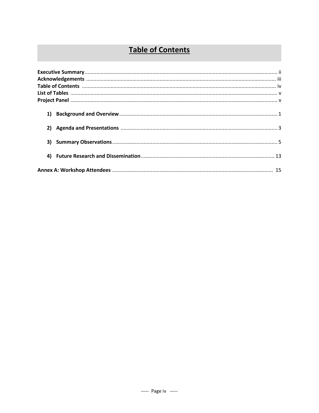# **Table of Contents**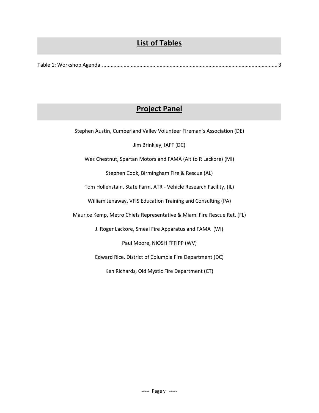## **List of Tables**

|--|--|--|

# **Project Panel**

Stephen Austin, Cumberland Valley Volunteer Fireman's Association (DE)

Jim Brinkley, IAFF (DC)

Wes Chestnut, Spartan Motors and FAMA (Alt to R Lackore) (MI)

Stephen Cook, Birmingham Fire & Rescue (AL)

Tom Hollenstain, State Farm, ATR - Vehicle Research Facility, (IL)

William Jenaway, VFIS Education Training and Consulting (PA)

Maurice Kemp, Metro Chiefs Representative & Miami Fire Rescue Ret. (FL)

J. Roger Lackore, Smeal Fire Apparatus and FAMA (WI)

Paul Moore, NIOSH FFFIPP (WV)

Edward Rice, District of Columbia Fire Department (DC)

Ken Richards, Old Mystic Fire Department (CT)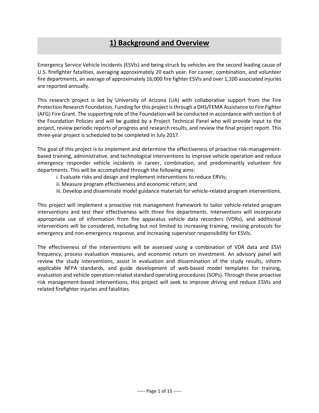## **1) Background and Overview**

Emergency Service Vehicle Incidents (ESVIs) and being struck by vehicles are the second leading cause of U.S. firefighter fatalities, averaging approximately 20 each year. For career, combination, and volunteer fire departments, an average of approximately 16,000 fire fighter ESVIs and over 1,100 associated injuries are reported annually.

This research project is led by University of Arizona (UA) with collaborative support from the Fire Protection Research Foundation. Funding for this project is through a DHS/FEMA Assistance to Fire Fighter (AFG) Fire Grant. The supporting role of the Foundation will be conducted in accordance with section 6 of the Foundation Policies and will be guided by a Project Technical Panel who will provide input to the project, review periodic reports of progress and research results, and review the final project report. This three-year project is scheduled to be completed in July 2017.

The goal of this project is to implement and determine the effectiveness of proactive risk-managementbased training, administrative, and technological interventions to improve vehicle operation and reduce emergency responder vehicle incidents in career, combination, and predominantly volunteer fire departments. This will be accomplished through the following aims:

- i. Evaluate risks and design and implement interventions to reduce ERVIs;
- ii. Measure program effectiveness and economic return; and
- iii. Develop and disseminate model guidance materials for vehicle-related program interventions.

This project will implement a proactive risk management framework to tailor vehicle-related program interventions and test their effectiveness with three fire departments. Interventions will incorporate appropriate use of information from fire apparatus vehicle data recorders (VDRs), and additional interventions will be considered, including but not limited to increasing training, revising protocols for emergency and non-emergency response, and increasing supervisor responsibility for ESVIs.

The effectiveness of the interventions will be assessed using a combination of VDR data and ESVI frequency, process evaluation measures, and economic return on investment. An advisory panel will review the study interventions, assist in evaluation and dissemination of the study results, inform applicable NFPA standards, and guide development of web-based model templates for training, evaluation and vehicle operation-related standard operating procedures (SOPs). Through these proactive risk management-based interventions, this project will seek to improve driving and reduce ESVIs and related firefighter injuries and fatalities.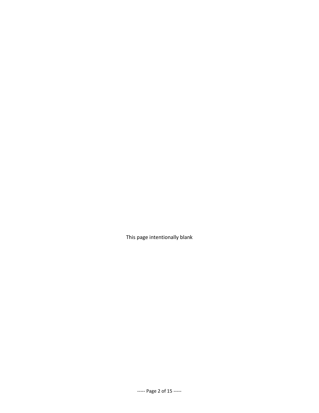This page intentionally blank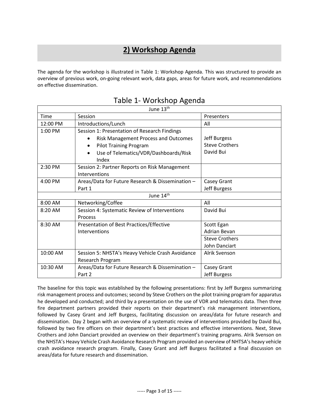# **2) Workshop Agenda**

The agenda for the workshop is illustrated in Table 1: Workshop Agenda. This was structured to provide an overview of previous work, on-going relevant work, data gaps, areas for future work, and recommendations on effective dissemination.

| June 13 <sup>th</sup> |                                                                                                                                                                         |                                                           |  |  |
|-----------------------|-------------------------------------------------------------------------------------------------------------------------------------------------------------------------|-----------------------------------------------------------|--|--|
| Time                  | Session                                                                                                                                                                 | Presenters                                                |  |  |
| 12:00 PM              | Introductions/Lunch                                                                                                                                                     | All                                                       |  |  |
| 1:00 PM               | Session 1: Presentation of Research Findings<br>Risk Management Process and Outcomes<br><b>Pilot Training Program</b><br>Use of Telematics/VDR/Dashboards/Risk<br>Index | <b>Jeff Burgess</b><br><b>Steve Crothers</b><br>David Bui |  |  |
| 2:30 PM               | Session 2: Partner Reports on Risk Management<br>Interventions                                                                                                          |                                                           |  |  |
| 4:00 PM               | Areas/Data for Future Research & Dissemination -<br>Part 1                                                                                                              | Casey Grant<br><b>Jeff Burgess</b>                        |  |  |
| June 14th             |                                                                                                                                                                         |                                                           |  |  |
| 8:00 AM               | Networking/Coffee                                                                                                                                                       | All                                                       |  |  |
| 8:20 AM               | Session 4: Systematic Review of Interventions<br><b>Process</b>                                                                                                         | David Bui                                                 |  |  |
| 8:30 AM               | Presentation of Best Practices/Effective<br>Interventions                                                                                                               | Scott Egan<br><b>Adrian Bevan</b>                         |  |  |
|                       |                                                                                                                                                                         | <b>Steve Crothers</b><br>John Danciart                    |  |  |
| 10:00 AM              | Session 5: NHSTA's Heavy Vehicle Crash Avoidance<br>Research Program                                                                                                    | Alrik Svenson                                             |  |  |
| 10:30 AM              | Areas/Data for Future Research & Dissemination -<br>Part 2                                                                                                              | Casey Grant<br><b>Jeff Burgess</b>                        |  |  |

| Table 1- Workshop Agenda |
|--------------------------|
|--------------------------|

The baseline for this topic was established by the following presentations: first by Jeff Burgess summarizing risk management process and outcomes; second by Steve Crothers on the pilot training program for apparatus he developed and conducted; and third by a presentation on the use of VDR and telematics data. Then three fire department partners provided their reports on their department's risk management interventions, followed by Casey Grant and Jeff Burgess, facilitating discussion on areas/data for future research and dissemination. Day 2 began with an overview of a systematic review of interventions provided by David Bui, followed by two fire officers on their department's best practices and effective interventions. Next, Steve Crothers and John Danciart provided an overview on their department's training programs. Alrik Svenson on the NHSTA's Heavy Vehicle Crash Avoidance Research Program provided an overview of NHTSA's heavy vehicle crash avoidance research program. Finally, Casey Grant and Jeff Burgess facilitated a final discussion on areas/data for future research and dissemination.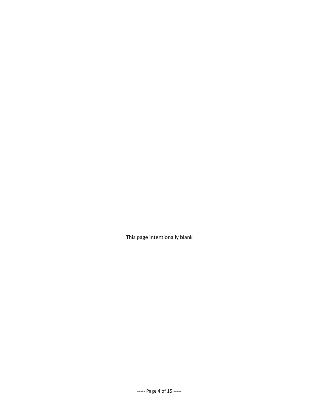This page intentionally blank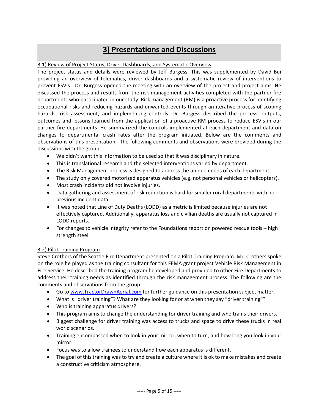# **3) Presentations and Discussions**

#### 3.1) Review of Project Status, Driver Dashboards, and Systematic Overview

The project status and details were reviewed by Jeff Burgess. This was supplemented by David Bui providing an overview of telematics, driver dashboards and a systematic review of interventions to prevent ESVIs. Dr. Burgess opened the meeting with an overview of the project and project aims. He discussed the process and results from the risk management activities completed with the partner fire departments who participated in our study. Risk management (RM) is a proactive process for identifying occupational risks and reducing hazards and unwanted events through an iterative process of scoping hazards, risk assessment, and implementing controls. Dr. Burgess described the process, outputs, outcomes and lessons learned from the application of a proactive RM process to reduce ESVIs in our partner fire departments. He summarized the controls implemented at each department and data on changes to departmental crash rates after the program initiated. Below are the comments and observations of this presentation. The following comments and observations were provided during the discussions with the group:

- We didn't want this information to be used so that it was disciplinary in nature.
- This is translational research and the selected interventions varied by department.
- The Risk Management process is designed to address the unique needs of each department.
- The study only covered motorized apparatus vehicles (e.g. not personal vehicles or helicopters).
- Most crash incidents did not involve injuries.
- Data gathering and assessment of risk reduction is hard for smaller rural departments with no previous incident data.
- It was noted that Line of Duty Deaths (LODD) as a metric is limited because injuries are not effectively captured. Additionally, apparatus loss and civilian deaths are usually not captured in LODD reports.
- For changes to vehicle integrity refer to the Foundations report on powered rescue tools high strength steel

#### 3.2) Pilot Training Program

Steve Crothers of the Seattle Fire Department presented on a Pilot Training Program. Mr. Crothers spoke on the role he played as the training consultant for this FEMA grant project Vehicle Risk Management in Fire Service. He described the training program he developed and provided to other Fire Departments to address their training needs as identified through the risk management process. The following are the comments and observations from the group:

- **Go to [www.TractorDrawnAerial.com](http://www.tractordrawnaerial.com/) for further guidance on this presentation subject matter.**
- What is "driver training"? What are they looking for or at when they say "driver training"?
- Who is training apparatus drivers?
- This program aims to change the understanding for driver training and who trains their drivers.
- Biggest challenge for driver training was access to trucks and space to drive these trucks in real world scenarios.
- Training encompassed when to look in your mirror, when to turn, and how long you look in your mirror.
- Focus was to allow trainees to understand how each apparatus is different.
- The goal of this training was to try and create a culture where it is ok to make mistakes and create a constructive criticism atmosphere.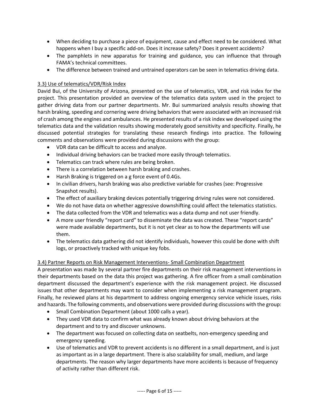- When deciding to purchase a piece of equipment, cause and effect need to be considered. What happens when I buy a specific add-on. Does it increase safety? Does it prevent accidents?
- The pamphlets in new apparatus for training and guidance, you can influence that through FAMA's technical committees.
- The difference between trained and untrained operators can be seen in telematics driving data.

#### 3.3) Use of telematics/VDR/Risk Index

David Bui, of the University of Arizona, presented on the use of telematics, VDR, and risk index for the project. This presentation provided an overview of the telematics data system used in the project to gather driving data from our partner departments. Mr. Bui summarized analysis results showing that harsh braking, speeding and cornering were driving behaviors that were associated with an increased risk of crash among the engines and ambulances. He presented results of a risk index we developed using the telematics data and the validation results showing moderately good sensitivity and specificity. Finally, he discussed potential strategies for translating these research findings into practice. The following comments and observations were provided during discussions with the group:

- VDR data can be difficult to access and analyze.
- Individual driving behaviors can be tracked more easily through telematics.
- Telematics can track where rules are being broken.
- There is a correlation between harsh braking and crashes.
- Harsh Braking is triggered on a g force event of 0.4Gs.
- In civilian drivers, harsh braking was also predictive variable for crashes (see: Progressive Snapshot results).
- The effect of auxiliary braking devices potentially triggering driving rules were not considered.
- We do not have data on whether aggressive downshifting could affect the telematics statistics.
- The data collected from the VDR and telematics was a data dump and not user friendly.
- A more user friendly "report card" to disseminate the data was created. These "report cards" were made available departments, but it is not yet clear as to how the departments will use them.
- The telematics data gathering did not identify individuals, however this could be done with shift logs, or proactively tracked with unique key fobs.

#### 3.4) Partner Reports on Risk Management Interventions- Small Combination Department

A presentation was made by several partner fire departments on their risk management interventions in their departments based on the data this project was gathering. A fire officer from a small combination department discussed the department's experience with the risk management project. He discussed issues that other departments may want to consider when implementing a risk management program. Finally, he reviewed plans at his department to address ongoing emergency service vehicle issues, risks and hazards. The following comments, and observations were provided during discussions with the group:

- Small Combination Department (about 1000 calls a year).
- They used VDR data to confirm what was already known about driving behaviors at the department and to try and discover unknowns.
- The department was focused on collecting data on seatbelts, non-emergency speeding and emergency speeding.
- Use of telematics and VDR to prevent accidents is no different in a small department, and is just as important as in a large department. There is also scalability for small, medium, and large departments. The reason why larger departments have more accidents is because of frequency of activity rather than different risk.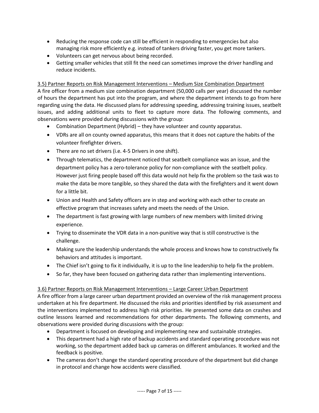- Reducing the response code can still be efficient in responding to emergencies but also managing risk more efficiently e.g. instead of tankers driving faster, you get more tankers.
- Volunteers can get nervous about being recorded.
- Getting smaller vehicles that still fit the need can sometimes improve the driver handling and reduce incidents.

#### 3.5) Partner Reports on Risk Management Interventions – Medium Size Combination Department

A fire officer from a medium size combination department (50,000 calls per year) discussed the number of hours the department has put into the program, and where the department intends to go from here regarding using the data. He discussed plans for addressing speeding, addressing training issues, seatbelt issues, and adding additional units to fleet to capture more data. The following comments, and observations were provided during discussions with the group:

- Combination Department (Hybrid) they have volunteer and county apparatus.
- VDRs are all on county owned apparatus, this means that it does not capture the habits of the volunteer firefighter drivers.
- There are no set drivers (i.e. 4-5 Drivers in one shift).
- Through telematics, the department noticed that seatbelt compliance was an issue, and the department policy has a zero-tolerance policy for non-compliance with the seatbelt policy. However just firing people based off this data would not help fix the problem so the task was to make the data be more tangible, so they shared the data with the firefighters and it went down for a little bit.
- Union and Health and Safety officers are in step and working with each other to create an effective program that increases safety and meets the needs of the Union.
- The department is fast growing with large numbers of new members with limited driving experience.
- Trying to disseminate the VDR data in a non-punitive way that is still constructive is the challenge.
- Making sure the leadership understands the whole process and knows how to constructively fix behaviors and attitudes is important.
- The Chief isn't going to fix it individually, it is up to the line leadership to help fix the problem.
- So far, they have been focused on gathering data rather than implementing interventions.

#### 3.6) Partner Reports on Risk Management Interventions – Large Career Urban Department

A fire officer from a large career urban department provided an overview of the risk management process undertaken at his fire department. He discussed the risks and priorities identified by risk assessment and the interventions implemented to address high risk priorities. He presented some data on crashes and outline lessons learned and recommendations for other departments. The following comments, and observations were provided during discussions with the group:

- Department is focused on developing and implementing new and sustainable strategies.
- This department had a high rate of backup accidents and standard operating procedure was not working, so the department added back up cameras on different ambulances. It worked and the feedback is positive.
- The cameras don't change the standard operating procedure of the department but did change in protocol and change how accidents were classified.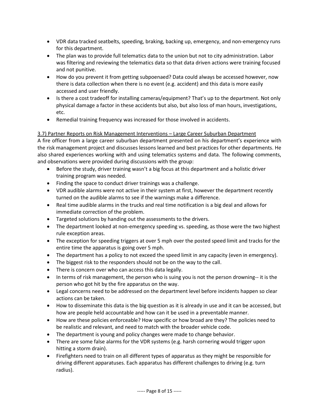- VDR data tracked seatbelts, speeding, braking, backing up, emergency, and non-emergency runs for this department.
- The plan was to provide full telematics data to the union but not to city administration. Labor was filtering and reviewing the telematics data so that data driven actions were training focused and not punitive.
- How do you prevent it from getting subpoenaed? Data could always be accessed however, now there is data collection when there is no event (e.g. accident) and this data is more easily accessed and user friendly.
- Is there a cost tradeoff for installing cameras/equipment? That's up to the department. Not only physical damage a factor in these accidents but also, but also loss of man hours, investigations, etc.
- Remedial training frequency was increased for those involved in accidents.

#### 3.7) Partner Reports on Risk Management Interventions – Large Career Suburban Department

A fire officer from a large career suburban department presented on his department's experience with the risk management project and discusses lessons learned and best practices for other departments. He also shared experiences working with and using telematics systems and data. The following comments, and observations were provided during discussions with the group:

- Before the study, driver training wasn't a big focus at this department and a holistic driver training program was needed.
- Finding the space to conduct driver trainings was a challenge.
- VDR audible alarms were not active in their system at first, however the department recently turned on the audible alarms to see if the warnings make a difference.
- Real time audible alarms in the trucks and real time notification is a big deal and allows for immediate correction of the problem.
- Targeted solutions by handing out the assessments to the drivers.
- The department looked at non-emergency speeding vs. speeding, as those were the two highest rule exception areas.
- The exception for speeding triggers at over 5 mph over the posted speed limit and tracks for the entire time the apparatus is going over 5 mph.
- The department has a policy to not exceed the speed limit in any capacity (even in emergency).
- The biggest risk to the responders should not be on the way to the call.
- There is concern over who can access this data legally.
- In terms of risk management, the person who is suing you is not the person drowning-- it is the person who got hit by the fire apparatus on the way.
- Legal concerns need to be addressed on the department level before incidents happen so clear actions can be taken.
- How to disseminate this data is the big question as it is already in use and it can be accessed, but how are people held accountable and how can it be used in a preventable manner.
- How are these policies enforceable? How specific or how broad are they? The policies need to be realistic and relevant, and need to match with the broader vehicle code.
- The department is young and policy changes were made to change behavior.
- There are some false alarms for the VDR systems (e.g. harsh cornering would trigger upon hitting a storm drain).
- Firefighters need to train on all different types of apparatus as they might be responsible for driving different apparatuses. Each apparatus has different challenges to driving (e.g. turn radius).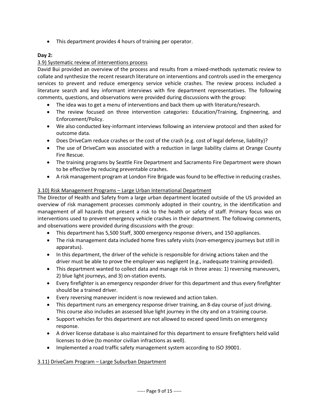This department provides 4 hours of training per operator.

#### **Day 2:**

#### 3.9) Systematic review of interventions process

David Bui provided an overview of the process and results from a mixed-methods systematic review to collate and synthesize the recent research literature on interventions and controls used in the emergency services to prevent and reduce emergency service vehicle crashes. The review process included a literature search and key informant interviews with fire department representatives. The following comments, questions, and observations were provided during discussions with the group:

- The idea was to get a menu of interventions and back them up with literature/research.
- The review focused on three intervention categories: Education/Training, Engineering, and Enforcement/Policy.
- We also conducted key-informant interviews following an interview protocol and then asked for outcome data.
- Does DriveCam reduce crashes or the cost of the crash (e.g. cost of legal defense, liability)?
- The use of DriveCam was associated with a reduction in large liability claims at Orange County Fire Rescue.
- The training programs by Seattle Fire Department and Sacramento Fire Department were shown to be effective by reducing preventable crashes.
- A risk management program at London Fire Brigade was found to be effective in reducing crashes.

#### 3.10) Risk Management Programs – Large Urban International Department

The Director of Health and Safety from a large urban department located outside of the US provided an overview of risk management processes commonly adopted in their country, in the identification and management of all hazards that present a risk to the health or safety of staff. Primary focus was on interventions used to prevent emergency vehicle crashes in their department. The following comments, and observations were provided during discussions with the group:

- This department has 5,500 Staff, 3000 emergency response drivers, and 150 appliances.
- The risk management data included home fires safety visits (non-emergency journeys but still in apparatus).
- In this department, the driver of the vehicle is responsible for driving actions taken and the driver must be able to prove the employer was negligent (e.g., inadequate training provided).
- This department wanted to collect data and manage risk in three areas: 1) reversing maneuvers, 2) blue light journeys, and 3) on-station events.
- Every firefighter is an emergency responder driver for this department and thus every firefighter should be a trained driver.
- Every reversing maneuver incident is now reviewed and action taken.
- This department runs an emergency response driver training, an 8-day course of just driving. This course also includes an assessed blue light journey in the city and on a training course.
- Support vehicles for this department are not allowed to exceed speed limits on emergency response.
- A driver license database is also maintained for this department to ensure firefighters held valid licenses to drive (to monitor civilian infractions as well).
- Implemented a road traffic safety management system according to ISO 39001.

#### 3.11) DriveCam Program – Large Suburban Department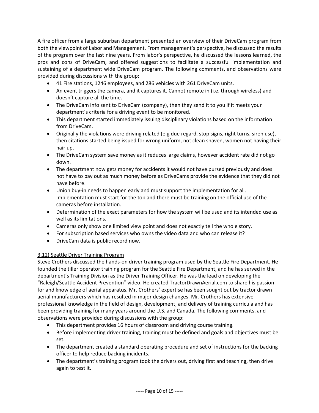A fire officer from a large suburban department presented an overview of their DriveCam program from both the viewpoint of Labor and Management. From management's perspective, he discussed the results of the program over the last nine years. From labor's perspective, he discussed the lessons learned, the pros and cons of DriveCam, and offered suggestions to facilitate a successful implementation and sustaining of a department wide DriveCam program. The following comments, and observations were provided during discussions with the group:

- 41 Fire stations, 1246 employees, and 286 vehicles with 261 DriveCam units.
- An event triggers the camera, and it captures it. Cannot remote in (i.e. through wireless) and doesn't capture all the time.
- The DriveCam info sent to DriveCam (company), then they send it to you if it meets your department's criteria for a driving event to be monitored.
- This department started immediately issuing disciplinary violations based on the information from DriveCam.
- Originally the violations were driving related (e.g due regard, stop signs, right turns, siren use), then citations started being issued for wrong uniform, not clean shaven, women not having their hair up.
- The DriveCam system save money as it reduces large claims, however accident rate did not go down.
- The department now gets money for accidents it would not have pursed previously and does not have to pay out as much money before as DriveCams provide the evidence that they did not have before.
- Union buy-in needs to happen early and must support the implementation for all. Implementation must start for the top and there must be training on the official use of the cameras before installation.
- Determination of the exact parameters for how the system will be used and its intended use as well as its limitations.
- Cameras only show one limited view point and does not exactly tell the whole story.
- For subscription based services who owns the video data and who can release it?
- DriveCam data is public record now.

#### 3.12) Seattle Driver Training Program

Steve Crothers discussed the hands-on driver training program used by the Seattle Fire Department. He founded the tiller operator training program for the Seattle Fire Department, and he has served in the department's Training Division as the Driver Training Officer. He was the lead on developing the "Raleigh/Seattle Accident Prevention" video. He created TractorDrawnAerial.com to share his passion for and knowledge of aerial apparatus. Mr. Crothers' expertise has been sought out by tractor drawn aerial manufacturers which has resulted in major design changes. Mr. Crothers has extensive professional knowledge in the field of design, development, and delivery of training curricula and has been providing training for many years around the U.S. and Canada. The following comments, and observations were provided during discussions with the group:

- This department provides 16 hours of classroom and driving course training.
- Before implementing driver training, training must be defined and goals and objectives must be set.
- The department created a standard operating procedure and set of instructions for the backing officer to help reduce backing incidents.
- The department's training program took the drivers out, driving first and teaching, then drive again to test it.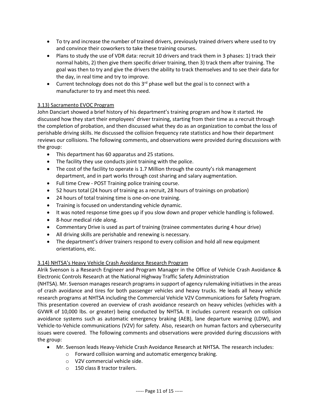- To try and increase the number of trained drivers, previously trained drivers where used to try and convince their coworkers to take these training courses.
- Plans to study the use of VDR data: recruit 10 drivers and track them in 3 phases: 1) track their normal habits, 2) then give them specific driver training, then 3) track them after training. The goal was then to try and give the drivers the ability to track themselves and to see their data for the day, in real time and try to improve.
- **Current technology does not do this 3<sup>rd</sup> phase well but the goal is to connect with a** manufacturer to try and meet this need.

#### 3.13) Sacramento EVOC Program

John Danciart showed a brief history of his department's training program and how it started. He discussed how they start their employees' driver training, starting from their time as a recruit through the completion of probation, and then discussed what they do as an organization to combat the loss of perishable driving skills. He discussed the collision frequency rate statistics and how their department reviews our collisions. The following comments, and observations were provided during discussions with the group:

- This department has 60 apparatus and 25 stations.
- The facility they use conducts joint training with the police.
- The cost of the facility to operate is 1.7 Million through the county's risk management department, and in part works through cost sharing and salary augmentation.
- Full time Crew POST Training police training course.
- 52 hours total (24 hours of training as a recruit, 28 hours of trainings on probation)
- 24 hours of total training time is one-on-one training.
- Training is focused on understanding vehicle dynamic.
- It was noted response time goes up if you slow down and proper vehicle handling is followed.
- 8-hour medical ride along.
- Commentary Drive is used as part of training (trainee commentates during 4 hour drive)
- All driving skills are perishable and renewing is necessary.
- The department's driver trainers respond to every collision and hold all new equipment orientations, etc.

#### 3.14) NHTSA's Heavy Vehicle Crash Avoidance Research Program

Alrik Svenson is a Research Engineer and Program Manager in the Office of Vehicle Crash Avoidance & Electronic Controls Research at the National Highway Traffic Safety Administration

(NHTSA). Mr. Svenson manages research programs in support of agency rulemaking initiatives in the areas of crash avoidance and tires for both passenger vehicles and heavy trucks. He leads all heavy vehicle research programs at NHTSA including the Commercial Vehicle V2V Communications for Safety Program. This presentation covered an overview of crash avoidance research on heavy vehicles (vehicles with a GVWR of 10,000 lbs. or greater) being conducted by NHTSA. It includes current research on collision avoidance systems such as automatic emergency braking (AEB), lane departure warning (LDW), and Vehicle-to-Vehicle communications (V2V) for safety. Also, research on human factors and cybersecurity issues were covered. The following comments and observations were provided during discussions with the group:

- Mr. Svenson leads Heavy-Vehicle Crash Avoidance Research at NHTSA. The research includes:
	- o Forward collision warning and automatic emergency braking.
	- o V2V commercial vehicle side.
	- o 150 class 8 tractor trailers.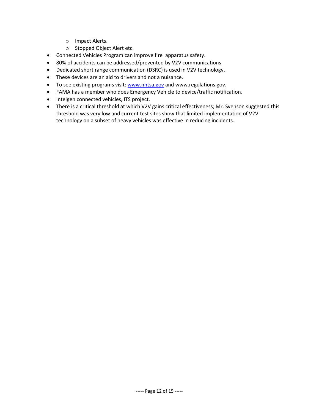- o Impact Alerts.
- o Stopped Object Alert etc.
- Connected Vehicles Program can improve fire apparatus safety.
- 80% of accidents can be addressed/prevented by V2V communications.
- Dedicated short range communication (DSRC) is used in V2V technology.
- These devices are an aid to drivers and not a nuisance.
- To see existing programs visit: [www.nhtsa.gov](http://www.nhtsa.gov/) and www.regulations.gov.
- FAMA has a member who does Emergency Vehicle to device/traffic notification.
- Intelgen connected vehicles, ITS project.
- There is a critical threshold at which V2V gains critical effectiveness; Mr. Svenson suggested this threshold was very low and current test sites show that limited implementation of V2V technology on a subset of heavy vehicles was effective in reducing incidents.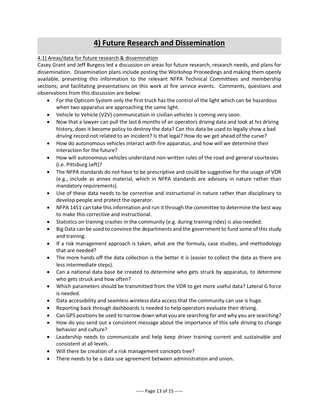# **4) Future Research and Dissemination**

#### 4.1) Areas/data for future research & dissemination

Casey Grant and Jeff Burgess led a discussion on areas for future research, research needs, and plans for dissemination. Dissemination plans include posting the Workshop Proceedings and making them openly available, presenting this information to the relevant NFPA Technical Committees and membership sections; and facilitating presentations on this work at fire service events. Comments, questions and observations from this discussion are below:

- For the Opticom System only the first truck has the control of the light which can be hazardous when two apparatus are approaching the same light.
- Vehicle to Vehicle (V2V) communication in civilian vehicles is coming very soon.
- Now that a lawyer can pull the last 6 months of an operators driving data and look at his driving history, does it become policy to destroy the data? Can this data be used to legally show a bad driving record not related to an incident? Is that legal? How do we get ahead of the curve?
- How do autonomous vehicles interact with fire apparatus, and how will we determine their interaction for the future?
- How will autonomous vehicles understand non-written rules of the road and general courtesies (i.e. Pittsburg Left)?
- The NFPA standards do not have to be prescriptive and could be suggestive for the usage of VDR (e.g., include as annex material, which in NFPA standards are advisory in nature rather than mandatory requirements).
- Use of these data needs to be corrective and instructional in nature rather than disciplinary to develop people and protect the operator.
- NFPA 1451 can take this information and run it through the committee to determine the best way to make this corrective and instructional.
- Statistics on training crashes in the community (e.g. during training rides) is also needed.
- Big Data can be used to convince the departments and the government to fund some of this study and training.
- If a risk management approach is taken, what are the formula, case studies, and methodology that are needed?
- The more hands off the data collection is the better it is (easier to collect the data as there are less intermediate steps).
- Can a national data base be created to determine who gets struck by apparatus, to determine who gets struck and how often?
- Which parameters should be transmitted from the VDR to get more useful data? Lateral G force is needed.
- Data accessibility and seamless wireless data access that the community can use is huge.
- Reporting back through dashboards is needed to help operators evaluate their driving.
- Can GPS positions be used to narrow down what you are searching for and why you are searching?
- How do you send out a consistent message about the importance of this safe driving to change behavior and culture?
- Leadership needs to communicate and help keep driver training current and sustainable and consistent at all levels.
- Will there be creation of a risk management concepts tree?
- There needs to be a data use agreement between administration and union.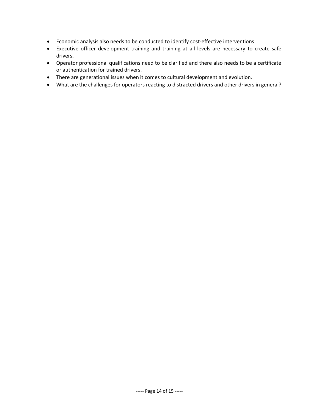- Economic analysis also needs to be conducted to identify cost-effective interventions.
- Executive officer development training and training at all levels are necessary to create safe drivers.
- Operator professional qualifications need to be clarified and there also needs to be a certificate or authentication for trained drivers.
- There are generational issues when it comes to cultural development and evolution.
- What are the challenges for operators reacting to distracted drivers and other drivers in general?